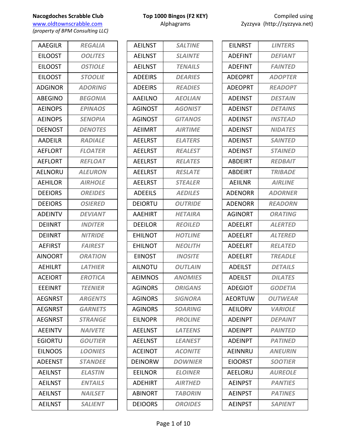www.oldtownscrabble.com Alphagrams Alphagrams Zyzzyva (http://zyzzyva.net) *(property of BPM Consulting LLC)*

AAEGILR *REGALIA* EILOOST *OOLITES* EILOOST *OSTIOLE* EILOOST *STOOLIE* ADGINOR *ADORING* ABEGINO *BEGONIA* AEINOPS *EPINAOS* AEINOPS *SENOPIA* DEENOST *DENOTES* AADEILR *RADIALE* AEFLORT *FLOATER* AEFLORT *REFLOAT* AELNORU *ALEURON* AEHILOR *AIRHOLE* DEEIORS *OREIDES* DEEIORS *OSIERED* ADEINTV *DEVIANT* DEIINRT *INDITER* DEIINRT *NITRIDE* AEFIRST *FAIREST* AINOORT *ORATION* AEHILRT *LATHIER* ACEIORT *EROTICA* EEEINRT *TEENIER* AEGNRST *ARGENTS* AEGNRST *GARNETS* AEGNRST *STRANGE* AEEINTV *NAIVETE* EGIORTU *GOUTIER* EILNOOS *LOONIES* ADEENST *STANDEE* AEILNST *ELASTIN* AEILNST *ENTAILS* AEILNST *NAILSET* AEILNST *SALIENT*

| <b>AEILNST</b> | <b>SALTINE</b>        |
|----------------|-----------------------|
| <b>AEILNST</b> | <b>SLAINTE</b>        |
| <b>AEILNST</b> | <b>TENAILS</b>        |
| <b>ADEEIRS</b> | <b>DEARIES</b>        |
| <b>ADEEIRS</b> | <b>READIES</b>        |
| <b>AAEILNO</b> | <b>AEOLIAN</b>        |
| <b>AGINOST</b> | <b>AGONIST</b>        |
| <b>AGINOST</b> | <b>GITANOS</b>        |
| <b>AEIIMRT</b> | <b>AIRTIME</b>        |
| <b>AEELRST</b> | <b>ELATERS</b>        |
| <b>AEELRST</b> | <b>REALEST</b>        |
| <b>AEELRST</b> | <b>RELATES</b>        |
| <b>AEELRST</b> | <b>RESLATE</b>        |
| <b>AEELRST</b> | <b>STEALER</b>        |
| <b>ADEEILS</b> | <b>AEDILES</b>        |
| <b>DEIORTU</b> | <b>OUTRIDE</b>        |
| <b>AAEHIRT</b> | <b>HETAIRA</b>        |
| <b>DEEILOR</b> | <b>REOILED</b>        |
| <b>EHILNOT</b> | <b>HOTLINE</b>        |
| <b>EHILNOT</b> | <b>NEOLITH</b>        |
| <b>EIINOST</b> | <b>INOSITE</b>        |
| <b>AILNOTU</b> | <b>OUTLAIN</b>        |
| <b>AEIMNOS</b> | <b>ANOMIES</b>        |
| AGINORS        | <i><b>ORIGANS</b></i> |
| <b>AGINORS</b> | <b>SIGNORA</b>        |
| <b>AGINORS</b> | <b>SOARING</b>        |
| <b>EILNOPR</b> | <b>PROLINE</b>        |
| <b>AEELNST</b> | <b>LATEENS</b>        |
| <b>AEELNST</b> | <b>LEANEST</b>        |
| <b>ACEINOT</b> | <b>ACONITE</b>        |
| <b>DEINORW</b> | <b>DOWNIER</b>        |
| <b>EEILNOR</b> | <b>ELOINER</b>        |
| <b>ADEHIRT</b> | <b>AIRTHED</b>        |
| <b>ABINORT</b> | <b>TABORIN</b>        |
| <b>DEIOORS</b> | <b>OROIDES</b>        |

| <b>EILNRST</b> | <b>LINTERS</b>        |
|----------------|-----------------------|
| ADEFINT        | <b>DEFIANT</b>        |
| <b>ADEFINT</b> | <b>FAINTED</b>        |
| <b>ADEOPRT</b> | <b>ADOPTER</b>        |
| <b>ADEOPRT</b> | <b>READOPT</b>        |
| <b>ADEINST</b> | <b>DESTAIN</b>        |
| ADEINST        | <b>DETAINS</b>        |
| <b>ADEINST</b> | <b>INSTEAD</b>        |
| <b>ADEINST</b> | <b>NIDATES</b>        |
| <b>ADEINST</b> | <b>SAINTED</b>        |
| ADEINST        | <b>STAINED</b>        |
| <b>ABDEIRT</b> | <b>REDBAIT</b>        |
| <b>ABDEIRT</b> | <b>TRIBADE</b>        |
| AEIILNR        | <b>AIRLINE</b>        |
| <b>ADENORR</b> | <b>ADORNER</b>        |
| ADENORR        | <i><b>READORN</b></i> |
| <b>AGINORT</b> | <b>ORATING</b>        |
| <b>ADEELRT</b> | <b>ALERTED</b>        |
| <b>ADEELRT</b> | <b>ALTERED</b>        |
| <b>ADEELRT</b> | <b>RELATED</b>        |
| <b>ADEELRT</b> | <b>TREADLE</b>        |
| <b>ADEILST</b> | <b>DETAILS</b>        |
| <b>ADEILST</b> | <b>DILATES</b>        |
| ADEGIOT        | GODETIA               |
| <b>AEORTUW</b> | <b>OUTWEAR</b>        |
| <b>AEILORV</b> | <i><b>VARIOLE</b></i> |
| <b>ADEINPT</b> | <b>DEPAINT</b>        |
| <b>ADEINPT</b> | <b>PAINTED</b>        |
| <b>ADEINPT</b> | <b>PATINED</b>        |
| AEINNRU        | <b>ANEURIN</b>        |
| <b>EIOORST</b> | <b>SOOTIER</b>        |
| AEELORU        | <b>AUREOLE</b>        |
| <b>AEINPST</b> | <b>PANTIES</b>        |
| <b>AEINPST</b> | <b>PATINES</b>        |
| <b>AEINPST</b> | <b>SAPIENT</b>        |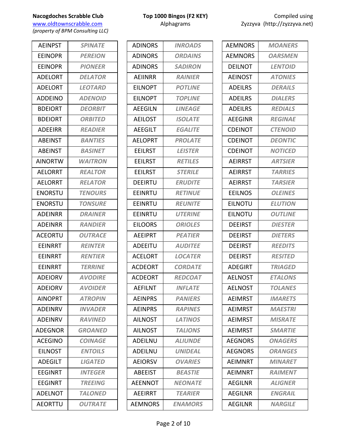www.oldtownscrabble.com Alphagrams Alphagrams Zyzzyva (http://zyzzyva.net) *(property of BPM Consulting LLC)*

AEINPST *SPINATE* EEINOPR *PEREION* EEINOPR *PIONEER* ADELORT *DELATOR* ADELORT *LEOTARD* ADDEINO *ADENOID* BDEIORT *DEORBIT* BDEIORT *ORBITED* ADEEIRR *READIER* ABEINST *BANTIES* ABEINST *BASINET* AINORTW *WAITRON* AELORRT *REALTOR* AELORRT *RELATOR* ENORSTU *TENOURS* ENORSTU *TONSURE* ADEINRR *DRAINER* ADEINRR *RANDIER* ACEORTU *OUTRACE* EEINRRT *REINTER* EEINRRT *RENTIER* EEINRRT *TERRINE* ADEIORV *AVODIRE* ADEIORV *AVOIDER* AINOPRT *ATROPIN* ADEINRV *INVADER* ADEINRV *RAVINED* ADEGNOR *GROANED* ACEGINO *COINAGE* EILNOST *ENTOILS* ADEGILT *LIGATED* EEGINRT *INTEGER* EEGINRT *TREEING* ADELNOT *TALONED* AEORTTU *OUTRATE*

| <b>ADINORS</b> | <b>INROADS</b> |
|----------------|----------------|
| <b>ADINORS</b> | <b>ORDAINS</b> |
| <b>ADINORS</b> | <b>SADIRON</b> |
| AEIINRR        | <b>RAINIER</b> |
| <b>EILNOPT</b> | <b>POTLINE</b> |
| <b>FILNOPT</b> | <b>TOPLINE</b> |
| <b>AEEGILN</b> | <b>LINEAGE</b> |
| <b>AEILOST</b> | <b>ISOLATE</b> |
| <b>AEEGILT</b> | <b>EGALITE</b> |
| <b>AELOPRT</b> | <b>PROLATE</b> |
| <b>EEILRST</b> | <b>LEISTER</b> |
| <b>EEILRST</b> | <b>RETILES</b> |
| EEILRST        | <b>STERILE</b> |
| <b>DEEIRTU</b> | <b>ERUDITE</b> |
| EEINRTU        | <b>RETINUE</b> |
| EEINRTU        | <b>REUNITE</b> |
| EEINRTU        | <b>UTERINE</b> |
| <b>EILOORS</b> | <b>ORIOLES</b> |
| <b>AEEIPRT</b> | <b>PEATIER</b> |
| ADEEITU        | <b>AUDITEE</b> |
| <b>ACELORT</b> | <b>LOCATER</b> |
| <b>ACDEORT</b> | <b>CORDATE</b> |
| <b>ACDEORT</b> | <b>REDCOAT</b> |
| <b>AEFILNT</b> | <b>INFLATE</b> |
| <b>AFINPRS</b> | <b>PANIERS</b> |
| <b>AEINPRS</b> | <b>RAPINES</b> |
| <b>AILNOST</b> | <b>LATINOS</b> |
| <b>AILNOST</b> | <b>TALIONS</b> |
| <b>ADEILNU</b> | <b>ALIUNDE</b> |
| ADEILNU        | <b>UNIDEAL</b> |
| <b>AEIORSV</b> | <b>OVARIES</b> |
| <b>ABEEIST</b> | <b>BEASTIE</b> |
| <b>AEENNOT</b> | <b>NEONATE</b> |
| AEEIRRT        | <b>TEARIER</b> |
| AEMNORS        | <b>ENAMORS</b> |

| <b>AEMNORS</b> | <b>MOANERS</b> |
|----------------|----------------|
| <b>AEMNORS</b> | <b>OARSMEN</b> |
| <b>DEILNOT</b> | <b>LENTOID</b> |
| <b>AEINOST</b> | <b>ATONIES</b> |
| <b>ADEILRS</b> | <b>DERAILS</b> |
| <b>ADEILRS</b> | <b>DIALERS</b> |
| <b>ADEILRS</b> | <b>REDIALS</b> |
| <b>AEEGINR</b> | <b>REGINAE</b> |
| <b>CDEINOT</b> | <b>CTENOID</b> |
| <b>CDEINOT</b> | <b>DEONTIC</b> |
| CDEINOT        | <b>NOTICED</b> |
| <b>AEIRRST</b> | <b>ARTSIER</b> |
| <b>AEIRRST</b> | <b>TARRIES</b> |
| <b>AEIRRST</b> | <b>TARSIER</b> |
| <b>EEILNOS</b> | <b>OLEINES</b> |
| EILNOTU        | <b>ELUTION</b> |
| <b>EILNOTU</b> | <b>OUTLINE</b> |
| <b>DEEIRST</b> | <b>DIESTER</b> |
| <b>DEEIRST</b> | <b>DIETERS</b> |
| <b>DEEIRST</b> | <b>REEDITS</b> |
| <b>DEEIRST</b> | <b>RESITED</b> |
| <b>ADEGIRT</b> | <b>TRIAGED</b> |
| <b>AELNOST</b> | <b>ETALONS</b> |
| AFLNOST        | <b>TOLANES</b> |
| <b>AFIMRST</b> | <b>IMARETS</b> |
| <b>AEIMRST</b> | <b>MAESTRI</b> |
| <b>AEIMRST</b> | <b>MISRATE</b> |
| <b>AEIMRST</b> | <b>SMARTIE</b> |
| <b>AEGNORS</b> | <b>ONAGERS</b> |
| AEGNORS        | <b>ORANGES</b> |
| <b>AEIMNRT</b> | <b>MINARET</b> |
| AEIMNRT        | <b>RAIMENT</b> |
| <b>AEGILNR</b> | <b>ALIGNER</b> |
| <b>AEGILNR</b> | <b>ENGRAIL</b> |
| <b>AEGILNR</b> | <b>NARGILE</b> |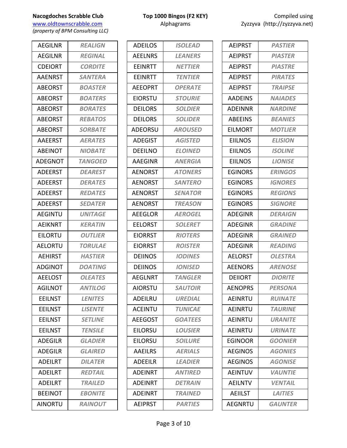*(property of BPM Consulting LLC)*

| <b>AEGILNR</b><br><b>REGINAL</b><br><b>CDEIORT</b><br><b>CORDITE</b><br><b>AAENRST</b><br><b>SANTERA</b><br><b>ABEORST</b><br><b>BOASTER</b><br><b>ABEORST</b><br><b>BOATERS</b><br><b>ABEORST</b><br><b>BORATES</b><br><b>ABEORST</b><br><b>REBATOS</b><br><b>ABEORST</b><br><b>SORBATE</b><br><b>AAEERST</b><br><b>AERATES</b> |
|----------------------------------------------------------------------------------------------------------------------------------------------------------------------------------------------------------------------------------------------------------------------------------------------------------------------------------|
|                                                                                                                                                                                                                                                                                                                                  |
|                                                                                                                                                                                                                                                                                                                                  |
|                                                                                                                                                                                                                                                                                                                                  |
|                                                                                                                                                                                                                                                                                                                                  |
|                                                                                                                                                                                                                                                                                                                                  |
|                                                                                                                                                                                                                                                                                                                                  |
|                                                                                                                                                                                                                                                                                                                                  |
|                                                                                                                                                                                                                                                                                                                                  |
|                                                                                                                                                                                                                                                                                                                                  |
| <b>ABEINOT</b><br><b>NIOBATE</b>                                                                                                                                                                                                                                                                                                 |
| <b>ADEGNOT</b><br><b>TANGOED</b>                                                                                                                                                                                                                                                                                                 |
| <b>ADEERST</b><br><b>DEAREST</b>                                                                                                                                                                                                                                                                                                 |
| <b>ADEERST</b><br><b>DERATES</b>                                                                                                                                                                                                                                                                                                 |
| <b>ADEERST</b><br><b>REDATES</b>                                                                                                                                                                                                                                                                                                 |
| <b>ADEERST</b><br><b>SEDATER</b>                                                                                                                                                                                                                                                                                                 |
| <b>AEGINTU</b><br><b>UNITAGE</b>                                                                                                                                                                                                                                                                                                 |
| <b>AEIKNRT</b><br><b>KERATIN</b>                                                                                                                                                                                                                                                                                                 |
| EILORTU<br><b>OUTLIER</b>                                                                                                                                                                                                                                                                                                        |
| <b>AELORTU</b><br>TORULAE                                                                                                                                                                                                                                                                                                        |
| <b>AEHIRST</b><br><b>HASTIER</b>                                                                                                                                                                                                                                                                                                 |
| <b>ADGINOT</b><br><b>DOATING</b>                                                                                                                                                                                                                                                                                                 |
| <b>AEELOST</b><br><b>OLEATES</b>                                                                                                                                                                                                                                                                                                 |
| <b>AGILNOT</b><br><b>ANTILOG</b>                                                                                                                                                                                                                                                                                                 |
| <b>EEILNST</b><br><b>LENITES</b>                                                                                                                                                                                                                                                                                                 |
| <b>LISENTE</b><br><b>EEILNST</b>                                                                                                                                                                                                                                                                                                 |
| <b>SETLINE</b><br><b>EEILNST</b>                                                                                                                                                                                                                                                                                                 |
| <b>EEILNST</b><br><b>TENSILE</b>                                                                                                                                                                                                                                                                                                 |
| <b>ADEGILR</b><br><b>GLADIER</b>                                                                                                                                                                                                                                                                                                 |
| <b>ADEGILR</b><br><b>GLAIRFD</b>                                                                                                                                                                                                                                                                                                 |
| <b>ADEILRT</b><br><b>DILATER</b>                                                                                                                                                                                                                                                                                                 |
| <b>ADEILRT</b><br><b>REDTAIL</b>                                                                                                                                                                                                                                                                                                 |
| <b>TRAILED</b><br><b>ADEILRT</b>                                                                                                                                                                                                                                                                                                 |
| <b>BEEINOT</b><br><b>EBONITE</b>                                                                                                                                                                                                                                                                                                 |
| <b>RAINOUT</b><br><b>AINORTU</b>                                                                                                                                                                                                                                                                                                 |

| <b>ADEILOS</b> | <b>ISOLEAD</b>        |
|----------------|-----------------------|
| <b>AEELNRS</b> | <i><b>LEANERS</b></i> |
| <b>FFINRTT</b> | <b>NETTIER</b>        |
| <b>FFINRTT</b> | <b>TENTIER</b>        |
| <b>AEEOPRT</b> | <b>OPERATE</b>        |
| <b>EIORSTU</b> | <b>STOURIE</b>        |
| <b>DEILORS</b> | <b>SOLDIER</b>        |
| <b>DEILORS</b> | <b>SOLIDER</b>        |
| ADEORSU        | <b>AROUSED</b>        |
| <b>ADEGIST</b> | <b>AGISTED</b>        |
| DEEILNO        | <b>ELOINED</b>        |
| AAEGINR        | <b>ANERGIA</b>        |
| <b>AENORST</b> | <b>ATONERS</b>        |
| <b>AENORST</b> | <b>SANTERO</b>        |
| <b>AENORST</b> | <b>SENATOR</b>        |
| <b>AENORST</b> | <b>TREASON</b>        |
| <b>AEEGLOR</b> | <b>AEROGEL</b>        |
| <b>EELORST</b> | <b>SOLERET</b>        |
| <b>EIORRST</b> | <b>RIOTERS</b>        |
| EIORRST        | <b>ROISTER</b>        |
| <b>DEIINOS</b> | <b>IODINES</b>        |
| <b>DEIINOS</b> | <b>IONISED</b>        |
| <b>AEGLNRT</b> | <b>TANGLER</b>        |
| <b>AIORSTU</b> | <b>SAUTOIR</b>        |
| ADEILRU        | <b>UREDIAL</b>        |
| <b>ACEINTU</b> | <b>TUNICAE</b>        |
| <b>AEEGOST</b> | <b>GOATEES</b>        |
| <b>EILORSU</b> | <b>LOUSIER</b>        |
| <b>EILORSU</b> | <b>SOILURE</b>        |
| <b>AAEILRS</b> | <b>AERIALS</b>        |
| <b>ADEEILR</b> | <b>LEADIER</b>        |
| <b>ADEINRT</b> | <b>ANTIRED</b>        |
| <b>ADEINRT</b> | <b>DETRAIN</b>        |
| ADEINRT        | <b>TRAINED</b>        |
| <b>AEIPRST</b> | <b>PARTIES</b>        |
|                |                       |

| <b>AEIPRST</b> | <b>PASTIER</b> |
|----------------|----------------|
| <b>AEIPRST</b> | <b>PIASTER</b> |
| <b>AEIPRST</b> | <b>PIASTRE</b> |
| <b>AEIPRST</b> | <b>PIRATES</b> |
| <b>AEIPRST</b> | <b>TRAIPSE</b> |
| <b>AADEINS</b> | <b>NAIADES</b> |
| <b>ADEINNR</b> | <b>NARDINE</b> |
| <b>ABEEINS</b> | <b>BEANIES</b> |
| <b>EILMORT</b> | <b>MOTLIER</b> |
| <b>EIILNOS</b> | <b>ELISION</b> |
| <b>EIILNOS</b> | <b>ISOLINE</b> |
| <b>EIILNOS</b> | <b>LIONISE</b> |
| EGINORS        | <b>ERINGOS</b> |
| <b>EGINORS</b> | <b>IGNORES</b> |
| <b>EGINORS</b> | <b>REGIONS</b> |
| <b>EGINORS</b> | <b>SIGNORE</b> |
| <b>ADEGINR</b> | <b>DERAIGN</b> |
| <b>ADEGINR</b> | <b>GRADINE</b> |
| <b>ADEGINR</b> | <b>GRAINED</b> |
| ADEGINR        | <b>READING</b> |
| <b>AELORST</b> | <b>OLESTRA</b> |
| <b>AEENORS</b> | <b>ARENOSE</b> |
| DEIIORT        | <b>DIORITE</b> |
| AENOPRS        | <i>PERSONA</i> |
| <b>AEINRTU</b> | <b>RUINATE</b> |
| AEINRTU        | <b>TAURINE</b> |
| AEINRTU        | <b>URANITE</b> |
| AEINRTU        | URINATE        |
| EGINOOR        | <b>GOONIER</b> |
| <b>AEGINOS</b> | <b>AGONIES</b> |
| <b>AEGINOS</b> | <b>AGONISE</b> |
| <b>AEINTUV</b> | <b>VAUNTIE</b> |
| <b>AEILNTV</b> | <b>VENTAIL</b> |
| <b>AEIILST</b> | <b>LAITIES</b> |
| <b>AEGNRTU</b> | <b>GAUNTER</b> |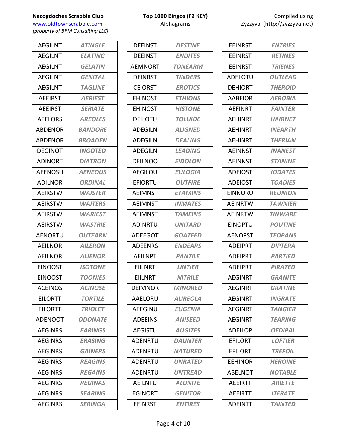**Nacogdoches Scrabble Club Top 1000 Bingos (F2 KEY) COMPILE USING USING USING USING USING USING USING USING USING USING USING USING USING USING USING USING USING USING USING USING USING USING USING USING USING USING US** www.oldtownscrabble.com

*(property of BPM Consulting LLC)*

| <b>AFGILNT</b> | <b>ATINGLE</b>        |
|----------------|-----------------------|
| <b>AEGILNT</b> | <b>ELATING</b>        |
| <b>AEGILNT</b> | <b>GELATIN</b>        |
| <b>AEGILNT</b> | <b>GENITAL</b>        |
| <b>AEGILNT</b> | <b>TAGLINE</b>        |
| <b>AEEIRST</b> | <b>AERIEST</b>        |
| <b>AEEIRST</b> | <b>SERIATE</b>        |
| <b>AEELORS</b> | <b>AREOLES</b>        |
| <b>ABDENOR</b> | <i><b>BANDORE</b></i> |
| <b>ABDENOR</b> | <b>BROADEN</b>        |
| <b>DEGINOT</b> | <b>INGOTED</b>        |
| <b>ADINORT</b> | <b>DIATRON</b>        |
| <b>AEENOSU</b> | <b>AENEOUS</b>        |
| <b>ADILNOR</b> | <b>ORDINAL</b>        |
| <b>AEIRSTW</b> | <b>WAISTER</b>        |
| <b>AEIRSTW</b> | <b>WAITERS</b>        |
| <b>AEIRSTW</b> | <b>WARIEST</b>        |
| <b>AEIRSTW</b> | <b>WASTRIE</b>        |
| <b>AENORTU</b> | <b>OUTEARN</b>        |
| <b>AEILNOR</b> | <b>AILERON</b>        |
| <b>AEILNOR</b> | <b>ALIENOR</b>        |
| <b>EINOOST</b> | <b>ISOTONE</b>        |
| <b>EINOOST</b> | <b>TOONIES</b>        |
| <b>ACEINOS</b> | <b>ACINOSE</b>        |
| <b>EILORTT</b> | <b>TORTILE</b>        |
| <b>EILORTT</b> | <b>TRIOLET</b>        |
| <b>ADENOOT</b> | <b>ODONATE</b>        |
| <b>AEGINRS</b> | <b>EARINGS</b>        |
| AEGINRS        | <b>ERASING</b>        |
| <b>AEGINRS</b> | <b>GAINERS</b>        |
| <b>AEGINRS</b> | <b>REAGINS</b>        |
| <b>AEGINRS</b> | <b>REGAINS</b>        |
| AEGINRS        | <b>REGINAS</b>        |
| <b>AEGINRS</b> | <b>SEARING</b>        |
| <b>AEGINRS</b> | <b>SERINGA</b>        |

| <b>DEEINST</b> | <b>DESTINE</b>        |
|----------------|-----------------------|
| <b>DEEINST</b> | <b>ENDITES</b>        |
| AEMNORT        | <b>TONEARM</b>        |
| DEINRST        | <b>TINDERS</b>        |
| <b>CEIORST</b> | <b>EROTICS</b>        |
| <b>EHINOST</b> | <b>ETHIONS</b>        |
| EHINOST        | <b>HISTONE</b>        |
| <b>DEILOTU</b> | <i><b>TOLUIDE</b></i> |
| <b>ADEGILN</b> | <b>ALIGNED</b>        |
| <b>ADEGILN</b> | <b>DEALING</b>        |
| <b>ADEGILN</b> | <b>LEADING</b>        |
| <b>DFILNOO</b> | <b>EIDOLON</b>        |
| AEGILOU        | <b>EULOGIA</b>        |
| <b>EFIORTU</b> | <b>OUTFIRE</b>        |
| <b>AEIMNST</b> | <b>ETAMINS</b>        |
| <b>AEIMNST</b> | <b>INMATES</b>        |
| <b>AEIMNST</b> | <b>TAMEINS</b>        |
| <b>ADINRTU</b> | <b>UNITARD</b>        |
| <b>ADEEGOT</b> | <b>GOATEED</b>        |
| <b>ADEENRS</b> | <b>ENDEARS</b>        |
| <b>AEILNPT</b> | <b>PANTILE</b>        |
| EIILNRT        | <b>LINTIER</b>        |
| <b>EIILNRT</b> | <b>NITRILE</b>        |
| DEIMNOR        | <i><b>MINORED</b></i> |
| AAELORU        | <b>AUREOLA</b>        |
| <b>AEEGINU</b> | <b>EUGENIA</b>        |
| <b>ADEEINS</b> | <b>ANISEED</b>        |
| <b>AEGISTU</b> | <b>AUGITES</b>        |
| <b>ADENRTU</b> | <b>DAUNTER</b>        |
| <b>ADENRTU</b> | <b>NATURED</b>        |
| ADENRTU        | <b>UNRATED</b>        |
| <b>ADENRTU</b> | <b>UNTREAD</b>        |
| <b>AEILNTU</b> | <b>ALUNITE</b>        |
| <b>EGINORT</b> | <i><b>GENITOR</b></i> |
| <b>EEINRST</b> | <b>ENTIRES</b>        |

| Compiled using               |
|------------------------------|
| Zyzzyva (http://zyzzyva.net) |

| <b>EEINRST</b> | <b>ENTRIES</b>        |
|----------------|-----------------------|
| <b>EEINRST</b> | <b>RETINES</b>        |
| <b>EEINRST</b> | <b>TRIENES</b>        |
| <b>ADFLOTU</b> | <b>OUTLEAD</b>        |
| <b>DEHIORT</b> | <b>THEROID</b>        |
| AABEIOR        | <b>AEROBIA</b>        |
| <b>AEFINRT</b> | <b>FAINTER</b>        |
| <b>AEHINRT</b> | <b>HAIRNET</b>        |
| AEHINRT        | <b>INEARTH</b>        |
| <b>AFHINRT</b> | <i><b>THERIAN</b></i> |
| <b>AEINNST</b> | <b>INANEST</b>        |
| <b>AEINNST</b> | <b>STANINE</b>        |
| <b>ADEIOST</b> | <b>IODATES</b>        |
| <b>ADEIOST</b> | <b>TOADIES</b>        |
| EINNORU        | <b>REUNION</b>        |
| <b>AEINRTW</b> | <b>TAWNIER</b>        |
| <b>AEINRTW</b> | <b>TINWARE</b>        |
| <b>EINOPTU</b> | <b>POUTINE</b>        |
| <b>AENOPST</b> | <b>TEOPANS</b>        |
| <b>ADEIPRT</b> | <b>DIPTERA</b>        |
| <b>ADEIPRT</b> | <b>PARTIED</b>        |
| <b>ADEIPRT</b> | <b>PIRATED</b>        |
| AFGINRT        | <b>GRANITE</b>        |
| AEGINRT        | <b>GRATINE</b>        |
| AFGINRT        | <b>INGRATE</b>        |
| <b>AEGINRT</b> | <b>TANGIER</b>        |
| <b>AEGINRT</b> | <b>TEARING</b>        |
| ADEILOP        | <b>OEDIPAL</b>        |
| <b>EFILORT</b> | <b>LOFTIER</b>        |
| <b>EFILORT</b> | <b>TREFOIL</b>        |
| <b>EEHINOR</b> | <b>HEROINE</b>        |
| ABELNOT        | <b>NOTABLE</b>        |
| <b>AEEIRTT</b> | <b>ARIETTE</b>        |
| <b>AEEIRTT</b> | <b>ITERATE</b>        |
| ADEINTT        | TAINTED               |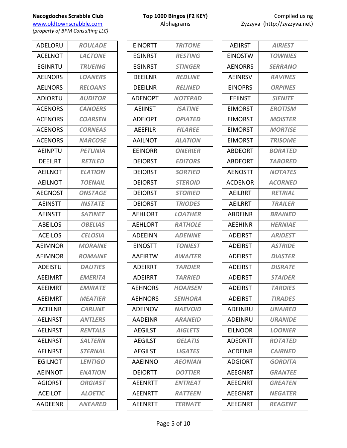# **Nacogdoches Scrabble Club Top 1000 Bingos (F2 KEY)**

www.oldtownscrabble.com Alphagrams Z *(property of BPM Consulting LLC)*

ADELORU *ROULADE* ACELNOT *LACTONE* EGINRTU *TRUEING* AELNORS *LOANERS* AELNORS *RELOANS* ADIORTU *AUDITOR* ACENORS *CANOERS* ACENORS *COARSEN* ACENORS *CORNEAS* ACENORS *NARCOSE* AEINPTU *PETUNIA* DEEILRT *RETILED* AEILNOT *ELATION* AEILNOT *TOENAIL* AEGNOST *ONSTAGE* AEINSTT *INSTATE* AEINSTT *SATINET* ABEILOS *OBELIAS* ACEILOS *CELOSIA* AEIMNOR *MORAINE* AEIMNOR *ROMAINE* ADEISTU *DAUTIES* AEEIMRT *EMERITA* AEEIMRT *EMIRATE* AEEIMRT *MEATIER* ACEILNR *CARLINE* AELNRST *ANTLERS* AELNRST *RENTALS* AELNRST *SALTERN* AELNRST *STERNAL* EGILNOT *LENTIGO* AEINNOT *ENATION* AGIORST *ORGIAST* ACEILOT *ALOETIC* AADEENR *ANEARED*

| <b>EINORTT</b> | <b>TRITONE</b>        |
|----------------|-----------------------|
| <b>FGINRST</b> | <b>RESTING</b>        |
| FGINRST        | <b>STINGER</b>        |
| <b>DEEILNR</b> | <b>REDLINE</b>        |
| <b>DEEILNR</b> | <b>RELINED</b>        |
| <b>ADENOPT</b> | <b>NOTEPAD</b>        |
| <b>AEIINST</b> | <b>ISATINE</b>        |
| <b>ADEIOPT</b> | <b>OPIATED</b>        |
| <b>AEEFILR</b> | <b>FILAREE</b>        |
| AAILNOT        | <b>ALATION</b>        |
| <b>EEINORR</b> | <b>ONERIER</b>        |
| <b>DEIORST</b> | <b>EDITORS</b>        |
| <b>DEIORST</b> | <b>SORTIED</b>        |
| <b>DEIORST</b> | <b>STEROID</b>        |
| <b>DEIORST</b> | <b>STORIFD</b>        |
| <b>DEIORST</b> | <b>TRIODES</b>        |
| <b>AEHLORT</b> | <b>LOATHER</b>        |
| <b>AEHLORT</b> | <b>RATHOLE</b>        |
| ADEEINN        | <b>ADENINE</b>        |
| <b>EINOSTT</b> | <b>TONIEST</b>        |
| AAEIRTW        | <b>AWAITER</b>        |
| <b>ADEIRRT</b> | <b>TARDIER</b>        |
| <b>ADEIRRT</b> | <i><b>TARRIED</b></i> |
| <b>AEHNORS</b> | <b>HOARSEN</b>        |
| <b>AEHNORS</b> | <b>SENHORA</b>        |
| ADEINOV        | <b>NAEVOID</b>        |
| <b>AADEINR</b> | <b>ARANEID</b>        |
| <b>AEGILST</b> | <b>AIGLETS</b>        |
| <b>AEGILST</b> | <b>GELATIS</b>        |
| <b>AEGILST</b> | <b>LIGATES</b>        |
| AAEINNO        | <b>AEONIAN</b>        |
| <b>DEIORTT</b> | <b>DOTTIER</b>        |
| <b>AEENRTT</b> | <b>ENTREAT</b>        |
| <b>AEENRTT</b> | <b>RATTEEN</b>        |
| AEENRTT        | <b>TERNATE</b>        |
|                |                       |

| Compiled using              |
|-----------------------------|
| yzzyva (http://zyzzyva.net) |

| <b>AEIIRST</b> | <b>AIRIEST</b> |
|----------------|----------------|
| <b>EINOSTW</b> | <b>TOWNIES</b> |
| <b>AENORRS</b> | <b>SERRANO</b> |
| AEINRSV        | <b>RAVINES</b> |
| <b>EINOPRS</b> | <b>ORPINES</b> |
| <b>EEIINST</b> | <b>SIENITE</b> |
| <b>EIMORST</b> | <b>EROTISM</b> |
| EIMORST        | <b>MOISTER</b> |
| <b>EIMORST</b> | <b>MORTISE</b> |
| <b>EIMORST</b> | <b>TRISOME</b> |
| <b>ABDEORT</b> | <b>BORATED</b> |
| <b>ABDEORT</b> | <b>TABORED</b> |
| <b>AENOSTT</b> | <b>NOTATES</b> |
| <b>ACDENOR</b> | <b>ACORNED</b> |
| AEILRRT        | <b>RETRIAL</b> |
| <b>AEILRRT</b> | <b>TRAILER</b> |
| ABDEINR        | <b>BRAINED</b> |
| <b>AEEHINR</b> | <b>HERNIAE</b> |
| <b>ADEIRST</b> | <b>ARIDEST</b> |
| <b>ADEIRST</b> | <b>ASTRIDE</b> |
| <b>ADEIRST</b> | <b>DIASTER</b> |
| <b>ADFIRST</b> | <b>DISRATE</b> |
| <b>ADEIRST</b> | <b>STAIDER</b> |
| <b>ADEIRST</b> | <b>TARDIES</b> |
| <b>ADEIRST</b> | <b>TIRADES</b> |
| ADEINRU        | <b>UNAIRED</b> |
| ADEINRU        | <b>URANIDE</b> |
| <b>FILNOOR</b> | <b>LOONIER</b> |
| <b>ADEORTT</b> | <b>ROTATED</b> |
| <b>ACDEINR</b> | <b>CAIRNED</b> |
| <b>ADGIORT</b> | <b>GORDITA</b> |
| AEEGNRT        | <b>GRANTEE</b> |
| <b>AEEGNRT</b> | <b>GREATEN</b> |
| AEEGNRT        | <b>NEGATER</b> |
| <b>AEEGNRT</b> | <b>REAGENT</b> |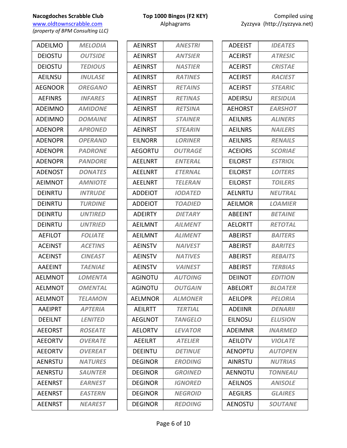www.oldtownscrabble.com Alphagrams Alphagrams Zyzzyva (http://zyzzyva.net) *(property of BPM Consulting LLC)*

ADEILMO *MELODIA* DEIOSTU *OUTSIDE* DEIOSTU *TEDIOUS* AEILNSU *INULASE* AEGNOOR *OREGANO* AEFINRS *INFARES* ADEIMNO *AMIDONE* ADEIMNO *DOMAINE* ADENOPR *APRONED* ADENOPR *OPERAND* ADENOPR *PADRONE* ADENOPR *PANDORE* ADENOST *DONATES* AEIMNOT *AMNIOTE* DEINRTU *INTRUDE* DEINRTU *TURDINE* DEINRTU *UNTIRED* DEINRTU *UNTRIED* AEFILOT *FOLIATE* ACEINST *ACETINS* ACEINST *CINEAST* AAEEINT *TAENIAE* AELMNOT *LOMENTA* AELMNOT *OMENTAL* AELMNOT *TELAMON* AAEIPRT *APTERIA* DEEILNT *LENITED* AEEORST *ROSEATE* AEEORTV *OVERATE* AEEORTV *OVEREAT* AENRSTU *NATURES* AENRSTU *SAUNTER* AEENRST *EARNEST* AEENRST *EASTERN* AEENRST *NEAREST*

| <b>AEINRST</b> | <b>ANESTRI</b>        |
|----------------|-----------------------|
| <b>AEINRST</b> | <b>ANTSIER</b>        |
| <b>AEINRST</b> | <b>NASTIER</b>        |
| <b>AEINRST</b> | <b>RATINES</b>        |
| <b>AEINRST</b> | <b>RETAINS</b>        |
| <b>AEINRST</b> | <b>RETINAS</b>        |
| <b>AEINRST</b> | <b>RETSINA</b>        |
| <b>AEINRST</b> | <b>STAINER</b>        |
| <b>AEINRST</b> | <b>STEARIN</b>        |
| <b>EILNORR</b> | <b>LORINER</b>        |
| <b>AEGORTU</b> | <b>OUTRAGE</b>        |
| AFFLNRT        | <b>ENTERAL</b>        |
| <b>AEELNRT</b> | <b>ETERNAL</b>        |
| <b>AEELNRT</b> | <b>TELERAN</b>        |
| <b>ADDEIOT</b> | <b>IODATED</b>        |
| <b>ADDEIOT</b> | TOADIED               |
| <b>ADEIRTY</b> | <b>DIETARY</b>        |
| <b>AEILMNT</b> | <b>AILMENT</b>        |
| AEILMNT        | <b>ALIMENT</b>        |
| <b>AEINSTV</b> | <b>NAIVEST</b>        |
| <b>AEINSTV</b> | <b>NATIVES</b>        |
| <b>AEINSTV</b> | <b>VAINEST</b>        |
| <b>AGINOTU</b> | <b>AUTOING</b>        |
| <b>AGINOTU</b> | <b>OUTGAIN</b>        |
| <b>AELMNOR</b> | <b>ALMONER</b>        |
| AEILRTT        | <b>TERTIAL</b>        |
| AEGLNOT        | <i><b>TANGELO</b></i> |
| <b>AELORTV</b> | <b>LEVATOR</b>        |
| <b>AEEILRT</b> | <b>ATELIER</b>        |
| <b>DEEINTU</b> | <b>DETINUE</b>        |
| <b>DEGINOR</b> | <b>ERODING</b>        |
| DEGINOR        | <b>GROINED</b>        |
| <b>DEGINOR</b> | <b>IGNORED</b>        |
| DEGINOR        | <b>NEGROID</b>        |
| <b>DEGINOR</b> | <b>REDOING</b>        |

| <b>ADEEIST</b> | <b>IDEATES</b> |
|----------------|----------------|
| <b>ACEIRST</b> | <b>ATRESIC</b> |
| <b>ACEIRST</b> | <b>CRISTAE</b> |
| <b>ACEIRST</b> | <b>RACIEST</b> |
| <b>ACEIRST</b> | <b>STEARIC</b> |
| <b>ADEIRSU</b> | <b>RESIDUA</b> |
| <b>AEHORST</b> | <b>EARSHOT</b> |
| <b>AEILNRS</b> | <b>ALINERS</b> |
| <b>AEILNRS</b> | <b>NAILERS</b> |
| <b>AEILNRS</b> | <b>RENAILS</b> |
| <b>ACEIORS</b> | <b>SCORIAE</b> |
| <b>EILORST</b> | <b>ESTRIOL</b> |
| <b>EILORST</b> | <b>LOITERS</b> |
| <b>EILORST</b> | <b>TOILERS</b> |
| <b>AELNRTU</b> | <b>NEUTRAL</b> |
| <b>AEILMOR</b> | <b>LOAMIER</b> |
| ABEEINT        | <b>BETAINE</b> |
| <b>AELORTT</b> | <b>RETOTAL</b> |
| <b>ABEIRST</b> | <b>BAITERS</b> |
| <b>ABEIRST</b> | <b>BARITES</b> |
| <b>ABEIRST</b> | <b>REBAITS</b> |
| <b>ABEIRST</b> | <b>TERBIAS</b> |
| <b>DEIINOT</b> | <b>EDITION</b> |
| ABELORT        | <b>BLOATER</b> |
| <b>AEILOPR</b> | <b>PELORIA</b> |
| <b>ADFIINR</b> | <b>DENARII</b> |
| EILNOSU        | <b>ELUSION</b> |
| <b>ADEIMNR</b> | <b>INARMED</b> |
| <b>AEILOTV</b> | <b>VIOLATE</b> |
| AENOPTU        | <b>AUTOPEN</b> |
| AINRSTU        | <b>NUTRIAS</b> |
| <b>AFNNOTU</b> | <b>TONNEAU</b> |
| <b>AEILNOS</b> | <b>ANISOLE</b> |
| <b>AEGILRS</b> | <b>GLAIRES</b> |
| <b>AENOSTU</b> | <b>SOUTANE</b> |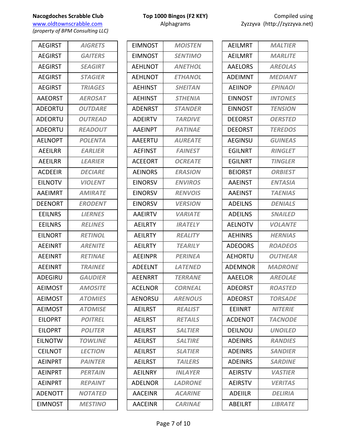www.oldtownscrabble.com Alphagrams Alphagrams Zyzzyva (http://zyzzyva.net) *(property of BPM Consulting LLC)*

AEGIRST *AIGRETS* AEGIRST *GAITERS* AEGIRST *SEAGIRT* AEGIRST *STAGIER* AEGIRST *TRIAGES* AAEORST *AEROSAT* ADEORTU *OUTDARE* ADEORTU *OUTREAD* ADEORTU *READOUT* AELNOPT *POLENTA* AEEILRR *EARLIER* AEEILRR *LEARIER* ACDEEIR *DECIARE* EILNOTV *VIOLENT* AAEIMRT *AMIRATE* DEENORT *ERODENT* EEILNRS *LIERNES* EEILNRS *RELINES* EILNORT *RETINOL* AEEINRT *ARENITE* AEEINRT *RETINAE* AEEINRT *TRAINEE* ADEGIRU *GAUDIER* AEIMOST *AMOSITE* AEIMOST *ATOMIES* AEIMOST *ATOMISE* EILOPRT *POITREL* EILOPRT *POLITER* EILNOTW *TOWLINE* CEILNOT *LECTION* AEINPRT *PAINTER* AEINPRT *PERTAIN* AEINPRT *REPAINT* ADENOTT *NOTATED* EIMNOST *MESTINO*

| EIMNOST        | <b>MOISTEN</b>        |
|----------------|-----------------------|
| <b>EIMNOST</b> | <b>SENTIMO</b>        |
| <b>AFHLNOT</b> | <b>ANETHOL</b>        |
| <b>AEHLNOT</b> | <b>ETHANOL</b>        |
| <b>AEHINST</b> | <b>SHEITAN</b>        |
| <b>AEHINST</b> | <b>STHENIA</b>        |
| <b>ADENRST</b> | <b>STANDER</b>        |
| <b>ADEIRTV</b> | <b>TARDIVE</b>        |
| <b>AAEINPT</b> | <b>PATINAE</b>        |
| <b>AAEERTU</b> | <b>AUREATE</b>        |
| AEFINST        | <b>FAINEST</b>        |
| <b>ACEEORT</b> | <b>OCREATE</b>        |
| <b>AEINORS</b> | <b>ERASION</b>        |
| <b>EINORSV</b> | <b>ENVIROS</b>        |
| <b>EINORSV</b> | <b>RENVOIS</b>        |
| <b>EINORSV</b> | <b>VERSION</b>        |
| <b>AAEIRTV</b> | <b><i>VARIATE</i></b> |
| <b>AEILRTY</b> | <b>IRATELY</b>        |
| <b>AEILRTY</b> | <b>REALITY</b>        |
| <b>AEILRTY</b> | <b>TEARILY</b>        |
| <b>AEEINPR</b> | <b>PERINEA</b>        |
| <b>ADEELNT</b> | <b>LATENED</b>        |
| AEENRRT        | <b><i>TERRANE</i></b> |
| <b>ACELNOR</b> | <b>CORNEAL</b>        |
| <b>AENORSU</b> | <b>ARENOUS</b>        |
| <b>AEILRST</b> | <b>REALIST</b>        |
| <b>AEILRST</b> | <b>RETAILS</b>        |
| <b>AEILRST</b> | <b>SALTIER</b>        |
| <b>AEILRST</b> | <b>SALTIRE</b>        |
| <b>AEILRST</b> | <b>SLATIFR</b>        |
| <b>AEILRST</b> | <b>TAILERS</b>        |
| AEILNRY        | <b>INLAYER</b>        |
| <b>ADELNOR</b> | <b>LADRONE</b>        |
| <b>AACEINR</b> | <b>ACARINE</b>        |
| <b>AACEINR</b> | <b>CARINAE</b>        |

| <b>MALTIER</b>        |
|-----------------------|
| <b>MARLITE</b>        |
| <b>AREOLAS</b>        |
| <b>MEDIANT</b>        |
| <b>EPINAOI</b>        |
| <b>INTONES</b>        |
| <b>TENSION</b>        |
| <b>OERSTED</b>        |
| <b>TEREDOS</b>        |
| <b>GUINEAS</b>        |
| <b>RINGLET</b>        |
| <b>TINGLER</b>        |
| <b>ORBIEST</b>        |
| <b>ENTASIA</b>        |
| <b>TAENIAS</b>        |
| <b>DENIALS</b>        |
| <b>SNAILED</b>        |
| <i><b>VOLANTE</b></i> |
| <b>HERNIAS</b>        |
| <b>ROADEOS</b>        |
| <b>OUTHEAR</b>        |
| <b>MADRONE</b>        |
| <b>AREOLAE</b>        |
| <i><b>ROASTED</b></i> |
| <b>TORSADE</b>        |
| <b>NITERIE</b>        |
| <b>TACNODE</b>        |
| <b>UNOILED</b>        |
| <b>RANDIES</b>        |
| <b>SANDIER</b>        |
| <b>SARDINE</b>        |
| <b>VASTIER</b>        |
| <b>VERITAS</b>        |
| DELIRIA               |
| <b>LIBRATE</b>        |
|                       |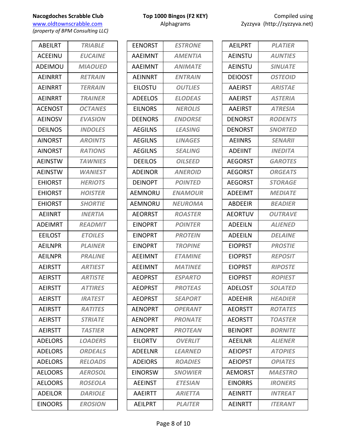www.oldtownscrabble.com Alphagrams Alphagrams Zyzzyva (http://zyzzyva.net) *(property of BPM Consulting LLC)*

ABEILRT *TRIABLE* ACEEINU *EUCAINE* ADEIMOU *MIAOUED* AEINRRT *RETRAIN* AEINRRT *TERRAIN* AEINRRT *TRAINER* ACENOST *OCTANES* AEINOSV *EVASION* DEILNOS *INDOLES* AINORST *AROINTS* AINORST *RATIONS* AEINSTW *TAWNIES* AEINSTW *WANIEST* EHIORST *HERIOTS* EHIORST *HOISTER* EHIORST *SHORTIE* AEIINRT *INERTIA* ADEIMRT *READMIT* EEILOST *ETOILES* AEILNPR *PLAINER* AEILNPR *PRALINE* AEIRSTT *ARTIEST* AEIRSTT *ARTISTE* AEIRSTT *ATTIRES* AEIRSTT *IRATEST* AEIRSTT *RATITES* AEIRSTT *STRIATE* AEIRSTT *TASTIER* ADELORS *LOADERS* ADELORS *ORDEALS* ADELORS *RELOADS* AELOORS *AEROSOL* AELOORS *ROSEOLA* ADEILOR *DARIOLE* EINOORS *EROSION*

| <b>EENORST</b> | <b>ESTRONE</b> |
|----------------|----------------|
| <b>AAEIMNT</b> | <b>AMENTIA</b> |
| <b>AAEIMNT</b> | <b>ANIMATE</b> |
| AEINNRT        | <b>ENTRAIN</b> |
| <b>EILOSTU</b> | <b>OUTLIES</b> |
| <b>ADEELOS</b> | <b>ELODEAS</b> |
| <b>EILNORS</b> | <b>NEROLIS</b> |
| <b>DEENORS</b> | <b>ENDORSE</b> |
| <b>AEGILNS</b> | <b>LEASING</b> |
| <b>AEGILNS</b> | <b>LINAGES</b> |
| <b>AEGILNS</b> | <b>SEALING</b> |
| <b>DEEILOS</b> | <b>OILSEED</b> |
| <b>ADEINOR</b> | <b>ANEROID</b> |
| DEINOPT        | <b>POINTED</b> |
| AEMNORU        | <b>ENAMOUR</b> |
| AEMNORU        | NEUROMA        |
| <b>AEORRST</b> | <b>ROASTER</b> |
| <b>EINOPRT</b> | <b>POINTER</b> |
| <b>EINOPRT</b> | <b>PROTEIN</b> |
| <b>EINOPRT</b> | <b>TROPINE</b> |
| <b>AEEIMNT</b> | <b>ETAMINE</b> |
| AEEIMNT        | <b>MATINEE</b> |
| <b>AEOPRST</b> | <b>ESPARTO</b> |
| AEOPRST        | <b>PROTEAS</b> |
| <b>AEOPRST</b> | <b>SEAPORT</b> |
| <b>AENOPRT</b> | <b>OPERANT</b> |
| <b>AENOPRT</b> | <b>PRONATE</b> |
| <b>AFNOPRT</b> | <b>PROTEAN</b> |
| <b>EILORTV</b> | <b>OVERLIT</b> |
| ADEELNR        | <b>LEARNED</b> |
| <b>ADEIORS</b> | <b>ROADIES</b> |
| <b>EINORSW</b> | <b>SNOWIER</b> |
| <b>AEEINST</b> | <b>ETESIAN</b> |
| AAEIRTT        | <b>ARIETTA</b> |
| <b>AEILPRT</b> | <b>PLAITER</b> |

| <b>AEILPRT</b> | <b>PLATIER</b> |
|----------------|----------------|
| <b>AEINSTU</b> | <b>AUNTIES</b> |
| <b>AEINSTU</b> | <b>SINUATE</b> |
| <b>DEIOOST</b> | <b>OSTEOID</b> |
| <b>AAEIRST</b> | <b>ARISTAE</b> |
| <b>AAEIRST</b> | <b>ASTERIA</b> |
| <b>AAEIRST</b> | <b>ATRESIA</b> |
| DENORST        | <b>RODENTS</b> |
| <b>DENORST</b> | <b>SNORTED</b> |
| <b>AEIINRS</b> | <b>SENARII</b> |
| <b>ADEIINT</b> | <b>INEDITA</b> |
| <b>AEGORST</b> | <b>GAROTES</b> |
| <b>AEGORST</b> | <b>ORGEATS</b> |
| <b>AEGORST</b> | <b>STORAGE</b> |
| <b>ADEEIMT</b> | <b>MEDIATE</b> |
| <b>ABDEEIR</b> | <b>BEADIER</b> |
| <b>AEORTUV</b> | <b>OUTRAVE</b> |
| <b>ADEEILN</b> | <b>ALIENED</b> |
| ADEEILN        | <b>DELAINE</b> |
| <b>EIOPRST</b> | <b>PROSTIE</b> |
| <b>EIOPRST</b> | <b>REPOSIT</b> |
| <b>EIOPRST</b> | <b>RIPOSTE</b> |
| <b>EIOPRST</b> | <b>ROPIEST</b> |
| ADFLOST        | <i>SOLATED</i> |
| <b>ADEEHIR</b> | <b>HEADIER</b> |
| <b>AEORSTT</b> | <b>ROTATES</b> |
| <b>AEORSTT</b> | <b>TOASTER</b> |
| <b>BEINORT</b> | <b>BORNITE</b> |
| AEEILNR        | <b>ALIENER</b> |
| <b>AEIOPST</b> | <b>ATOPIES</b> |
| <b>AEIOPST</b> | <b>OPIATES</b> |
| <b>AEMORST</b> | <b>MAESTRO</b> |
| <b>EINORRS</b> | <b>IRONERS</b> |
| <b>AFINRTT</b> | <b>INTREAT</b> |
| <b>AEINRTT</b> | <b>ITERANT</b> |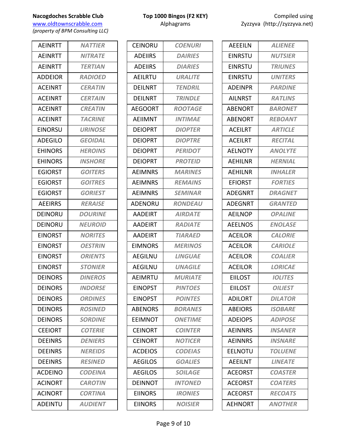*(property of BPM Consulting LLC)*

| <b>AEINRTT</b> | <b>NATTIER</b> |
|----------------|----------------|
| <b>AEINRTT</b> | <b>NITRATE</b> |
| <b>AEINRTT</b> | <b>TERTIAN</b> |
| <b>ADDEIOR</b> | <b>RADIOED</b> |
| <b>ACEINRT</b> | <b>CERATIN</b> |
| <b>ACEINRT</b> | <b>CERTAIN</b> |
| <b>ACEINRT</b> | <b>CREATIN</b> |
| <b>ACEINRT</b> | <b>TACRINE</b> |
| <b>EINORSU</b> | <b>URINOSE</b> |
| <b>ADEGILO</b> | <b>GEOIDAL</b> |
| <b>EHINORS</b> | <b>HEROINS</b> |
| EHINORS        | <b>INSHORE</b> |
| <b>EGIORST</b> | <b>GOITERS</b> |
| <b>EGIORST</b> | <b>GOITRES</b> |
| <b>EGIORST</b> | <b>GORIEST</b> |
| <b>AEEIRRS</b> | <b>RERAISE</b> |
| DEINORU        | <b>DOURINE</b> |
| DEINORU        | <b>NEUROID</b> |
| <b>EINORST</b> | <b>NORITES</b> |
| <b>EINORST</b> | <b>OESTRIN</b> |
| <b>EINORST</b> | <b>ORIENTS</b> |
| <b>EINORST</b> | <b>STONIER</b> |
| DEINORS        | <b>DINEROS</b> |
| <b>DEINORS</b> | <b>INDORSE</b> |
| <b>DEINORS</b> | <b>ORDINES</b> |
| <b>DEINORS</b> | <b>ROSINED</b> |
| <b>DEINORS</b> | <b>SORDINE</b> |
| <b>CEEIORT</b> | <b>COTERIE</b> |
| <b>DEEINRS</b> | <b>DENIERS</b> |
| <b>DFFINRS</b> | <b>NEREIDS</b> |
| <b>DEEINRS</b> | <b>RESINED</b> |
| <b>ACDEINO</b> | <b>CODEINA</b> |
| <b>ACINORT</b> | <b>CAROTIN</b> |
| <b>ACINORT</b> | <b>CORTINA</b> |
| <b>ADEINTU</b> | <b>AUDIENT</b> |
|                |                |

|  | Top 1000 Bingos (F2 KEY) |  |
|--|--------------------------|--|
|  | Alphagrams               |  |

| CEINORU        | <b>COENURI</b> |
|----------------|----------------|
| <b>ADEIIRS</b> | <b>DAIRIES</b> |
| <b>ADEIIRS</b> | <b>DIARIES</b> |
| <b>AFILRTU</b> | <b>URALITE</b> |
| DEILNRT        | <b>TENDRIL</b> |
| DEILNRT        | <b>TRINDLE</b> |
| <b>AEGOORT</b> | <b>ROOTAGE</b> |
| AEIIMNT        | <b>INTIMAE</b> |
| <b>DEIOPRT</b> | <b>DIOPTER</b> |
| <b>DEIOPRT</b> | <b>DIOPTRE</b> |
| <b>DEIOPRT</b> | <b>PERIDOT</b> |
| <b>DEIOPRT</b> | <b>PROTEID</b> |
| <b>AEIMNRS</b> | <b>MARINES</b> |
| AEIMNRS        | <b>REMAINS</b> |
| <b>AFIMNRS</b> | <b>SEMINAR</b> |
| <b>ADENORU</b> | <b>RONDEAU</b> |
| AADEIRT        | <b>AIRDATE</b> |
| AADEIRT        | <b>RADIATE</b> |
| AADEIRT        | <b>TIARAED</b> |
| EIMNORS        | <b>MERINOS</b> |
| AEGILNU        | <b>LINGUAE</b> |
| <b>AEGILNU</b> | <b>UNAGILE</b> |
| AEIMRTU        | <b>MURIATE</b> |
| <b>EINOPST</b> | <b>PINTOES</b> |
| <b>EINOPST</b> | <b>POINTES</b> |
| <b>ABENORS</b> | <b>BORANES</b> |
| EEIMNOT        | <b>ONETIME</b> |
| <b>CEINORT</b> | <b>COINTER</b> |
| <b>CEINORT</b> | <b>NOTICER</b> |
| <b>ACDEIOS</b> | <b>CODEIAS</b> |
| <b>AEGILOS</b> | <b>GOALIES</b> |
| <b>AEGILOS</b> | <b>SOILAGE</b> |
| DEINNOT        | <b>INTONED</b> |
| <b>EIINORS</b> | <b>IRONIES</b> |
| <b>EIINORS</b> | <b>NOISIER</b> |

| AEEEILN        | <b>ALIENEE</b> |
|----------------|----------------|
| EINRSTU        | <b>NUTSIER</b> |
| <b>EINRSTU</b> | <b>TRIUNES</b> |
| <b>EINRSTU</b> | <b>UNITERS</b> |
| <b>ADEINPR</b> | <b>PARDINE</b> |
| <b>AILNRST</b> | <b>RATLINS</b> |
| <b>ABENORT</b> | <b>BARONET</b> |
| <b>ABENORT</b> | <b>REBOANT</b> |
| <b>ACEILRT</b> | <b>ARTICLE</b> |
| <b>ACEILRT</b> | <b>RECITAL</b> |
| <b>AELNOTY</b> | <b>ANOLYTE</b> |
| AEHILNR        | <b>HERNIAL</b> |
| <b>AEHILNR</b> | <b>INHALER</b> |
| <b>EFIORST</b> | <b>FORTIES</b> |
| <b>ADEGNRT</b> | <b>DRAGNET</b> |
| ADEGNRT        | <b>GRANTED</b> |
| <b>AEILNOP</b> | <b>OPALINE</b> |
| <b>AEELNOS</b> | <b>ENOLASE</b> |
| <b>ACEILOR</b> | <b>CALORIE</b> |
| <b>ACEILOR</b> | <b>CARIOLE</b> |
| <b>ACEILOR</b> | <b>COALIER</b> |
| <b>ACEILOR</b> | <b>LORICAE</b> |
| <b>EIILOST</b> | <b>IOLITES</b> |
| EIILOST        | <b>OILIEST</b> |
| <b>ADILORT</b> | <b>DILATOR</b> |
| <b>ABEIORS</b> | <b>ISOBARE</b> |
| <b>ADEIOPS</b> | <b>ADIPOSE</b> |
| <b>AEINNRS</b> | <b>INSANER</b> |
| <b>AEINNRS</b> | <b>INSNARE</b> |
| EELNOTU        | <b>TOLUENE</b> |
| <b>AEEILNT</b> | <b>LINEATE</b> |
| <b>ACEORST</b> | <b>COASTER</b> |
| <b>ACEORST</b> | <b>COATERS</b> |
| <b>ACEORST</b> | <b>RECOATS</b> |
| <b>AEHNORT</b> | <b>ANOTHER</b> |